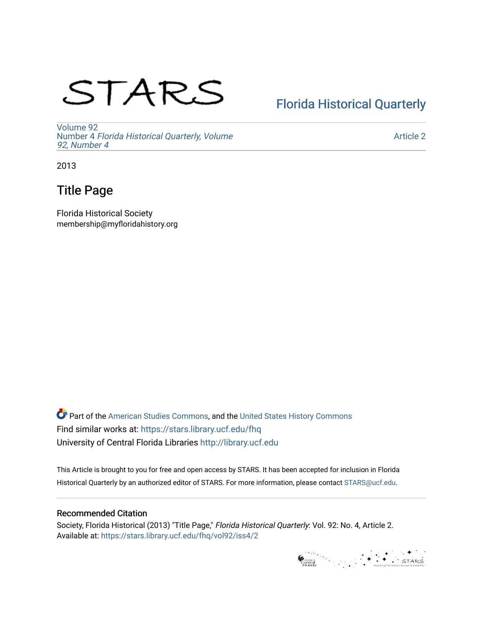# STARS

## [Florida Historical Quarterly](https://stars.library.ucf.edu/fhq)

[Volume 92](https://stars.library.ucf.edu/fhq/vol92) Number 4 [Florida Historical Quarterly, Volume](https://stars.library.ucf.edu/fhq/vol92/iss4)  [92, Number 4](https://stars.library.ucf.edu/fhq/vol92/iss4)

[Article 2](https://stars.library.ucf.edu/fhq/vol92/iss4/2) 

2013

## Title Page

Florida Historical Society membership@myfloridahistory.org

**C** Part of the [American Studies Commons](http://network.bepress.com/hgg/discipline/439?utm_source=stars.library.ucf.edu%2Ffhq%2Fvol92%2Fiss4%2F2&utm_medium=PDF&utm_campaign=PDFCoverPages), and the United States History Commons Find similar works at: <https://stars.library.ucf.edu/fhq> University of Central Florida Libraries [http://library.ucf.edu](http://library.ucf.edu/) 

This Article is brought to you for free and open access by STARS. It has been accepted for inclusion in Florida Historical Quarterly by an authorized editor of STARS. For more information, please contact [STARS@ucf.edu.](mailto:STARS@ucf.edu)

### Recommended Citation

Society, Florida Historical (2013) "Title Page," Florida Historical Quarterly: Vol. 92: No. 4, Article 2. Available at: [https://stars.library.ucf.edu/fhq/vol92/iss4/2](https://stars.library.ucf.edu/fhq/vol92/iss4/2?utm_source=stars.library.ucf.edu%2Ffhq%2Fvol92%2Fiss4%2F2&utm_medium=PDF&utm_campaign=PDFCoverPages) 

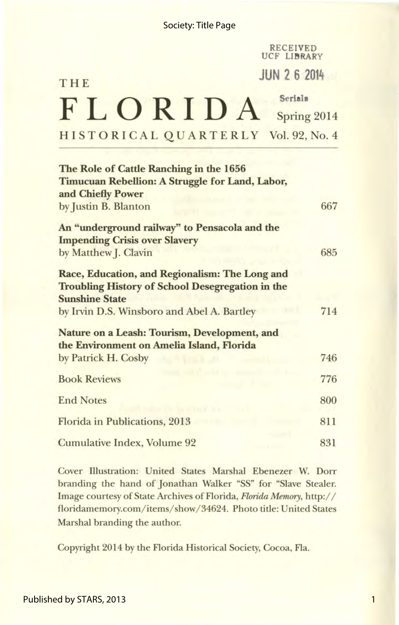|                                     | <b>RECEIVED</b><br>UCF LIBRARY |
|-------------------------------------|--------------------------------|
| THE                                 | <b>JUN 2 6 2014</b>            |
| $F L O R I D A semi Spring 2014$    | Seriala                        |
| HISTORICAL QUARTERLY Vol. 92, No. 4 |                                |
|                                     |                                |

| The Role of Cattle Ranching in the 1656                 |     |
|---------------------------------------------------------|-----|
| Timucuan Rebellion: A Struggle for Land, Labor,         |     |
| and Chiefly Power                                       |     |
| by Justin B. Blanton                                    | 667 |
| An "underground railway" to Pensacola and the           |     |
| <b>Impending Crisis over Slavery</b>                    |     |
| by Matthew J. Clavin                                    | 685 |
| Race, Education, and Regionalism: The Long and          |     |
| <b>Troubling History of School Desegregation in the</b> |     |
| <b>Sunshine State</b>                                   |     |
| by Irvin D.S. Winsboro and Abel A. Bartley              | 714 |
| Nature on a Leash: Tourism, Development, and            |     |
| the Environment on Amelia Island, Florida               |     |
| by Patrick H. Cosby                                     | 746 |
| <b>Book Reviews</b>                                     | 776 |
| <b>End Notes</b>                                        | 800 |
| <b>Florida in Publications, 2013</b>                    | 811 |
| <b>Cumulative Index, Volume 92</b>                      | 831 |
|                                                         |     |

Cover Illustration: United States Marshal Ebenezer W. Dorr branding the hand of Jonathan Walker "SS" for "Slave Stealer. Image courtesy of State Archives of Florida, *Florida Memory,* http:// floridamemory.com/ items/ show/ 34624. Photo title: United States Marshal branding the author.

Copyright 2014 by the Florida Historical Society, Cocoa, Fla.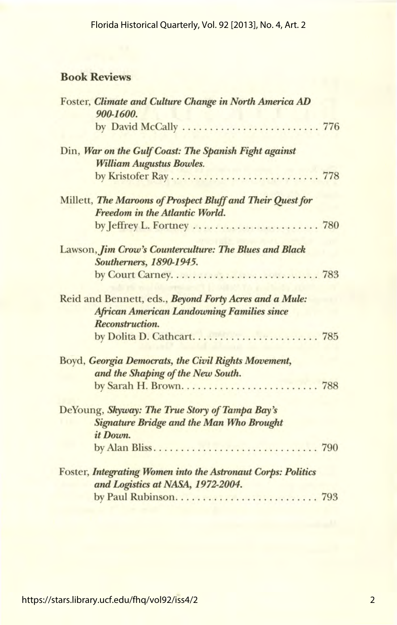### Book Reviews

| Foster, Climate and Culture Change in North America AD<br>900-1600.                               |  |
|---------------------------------------------------------------------------------------------------|--|
|                                                                                                   |  |
| Din, War on the Gulf Coast: The Spanish Fight against<br><b>William Augustus Bowles.</b>          |  |
|                                                                                                   |  |
| Millett, The Maroons of Prospect Bluff and Their Quest for                                        |  |
| Freedom in the Atlantic World.                                                                    |  |
| by Jeffrey L. Fortney  780                                                                        |  |
| Lawson, Jim Crow's Counterculture: The Blues and Black                                            |  |
| Southerners, 1890-1945.                                                                           |  |
|                                                                                                   |  |
| Reid and Bennett, eds., Beyond Forty Acres and a Mule:                                            |  |
| <b>African American Landowning Families since</b>                                                 |  |
| Reconstruction.                                                                                   |  |
|                                                                                                   |  |
| Boyd, Georgia Democrats, the Civil Rights Movement,                                               |  |
| and the Shaping of the New South.                                                                 |  |
|                                                                                                   |  |
| DeYoung, Skyway: The True Story of Tampa Bay's                                                    |  |
| <b>Signature Bridge and the Man Who Brought</b><br>it Down.                                       |  |
|                                                                                                   |  |
| Foster, Integrating Women into the Astronaut Corps: Politics<br>and Logistics at NASA, 1972-2004. |  |
|                                                                                                   |  |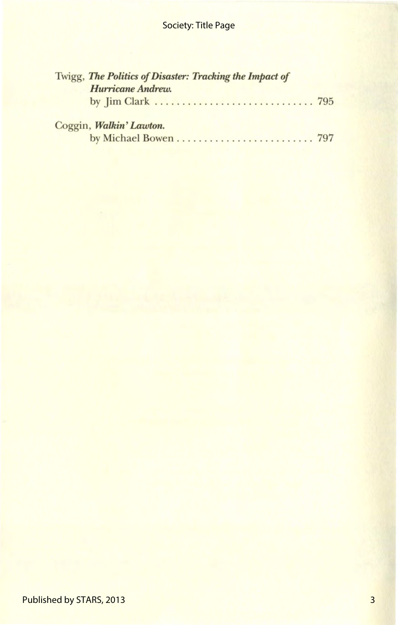## Society: Title Page

| Twigg, The Politics of Disaster: Tracking the Impact of |  |
|---------------------------------------------------------|--|
| Hurricane Andrew.                                       |  |
|                                                         |  |
| Coggin, Walkin' Lawton.                                 |  |
|                                                         |  |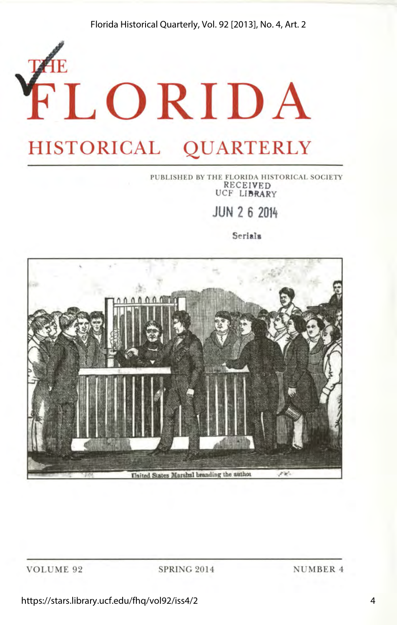Florida Historical Quarterly, Vol. 92 [2013], No. 4, Art. 2

## **E LORIDA HISTORICAL QUARTERLY**

### PUBLISHED BY THE FLORIDA HISTORICAL SOCIETY RECEIVED UCF LIBRARY

**JUN 2 6 2014** 

**Serial a** 



SPRING 2014 NUMBER 4

https://stars.library.ucf.edu/fhq/vol92/iss4/2